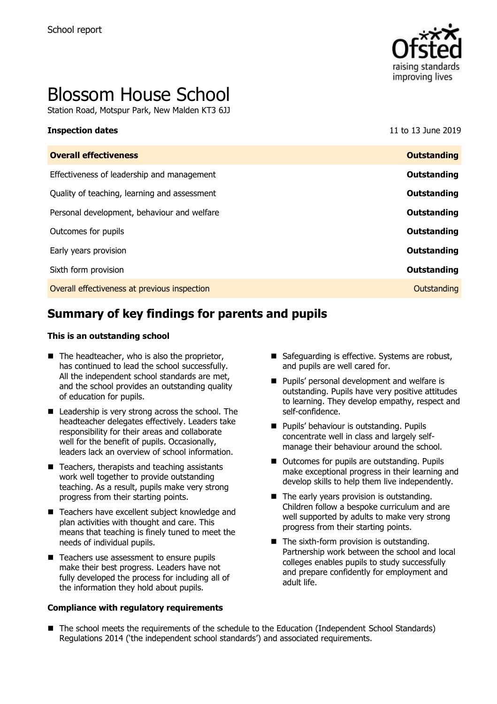

# Blossom House School

Station Road, Motspur Park, New Malden KT3 6JJ

#### **Inspection dates** 11 to 13 June 2019

| <b>Overall effectiveness</b>                 | <b>Outstanding</b> |
|----------------------------------------------|--------------------|
| Effectiveness of leadership and management   | Outstanding        |
| Quality of teaching, learning and assessment | Outstanding        |
| Personal development, behaviour and welfare  | Outstanding        |
| Outcomes for pupils                          | Outstanding        |
| Early years provision                        | Outstanding        |
| Sixth form provision                         | Outstanding        |
| Overall effectiveness at previous inspection | Outstanding        |
|                                              |                    |

# **Summary of key findings for parents and pupils**

#### **This is an outstanding school**

- $\blacksquare$  The headteacher, who is also the proprietor, has continued to lead the school successfully. All the independent school standards are met, and the school provides an outstanding quality of education for pupils.
- Leadership is very strong across the school. The headteacher delegates effectively. Leaders take responsibility for their areas and collaborate well for the benefit of pupils. Occasionally, leaders lack an overview of school information.
- $\blacksquare$  Teachers, therapists and teaching assistants work well together to provide outstanding teaching. As a result, pupils make very strong progress from their starting points.
- Teachers have excellent subject knowledge and plan activities with thought and care. This means that teaching is finely tuned to meet the needs of individual pupils.
- Teachers use assessment to ensure pupils make their best progress. Leaders have not fully developed the process for including all of the information they hold about pupils.

#### **Compliance with regulatory requirements**

- Safeguarding is effective. Systems are robust, and pupils are well cared for.
- **Pupils' personal development and welfare is** outstanding. Pupils have very positive attitudes to learning. They develop empathy, respect and self-confidence.
- **Pupils' behaviour is outstanding. Pupils** concentrate well in class and largely selfmanage their behaviour around the school.
- Outcomes for pupils are outstanding. Pupils make exceptional progress in their learning and develop skills to help them live independently.
- The early years provision is outstanding. Children follow a bespoke curriculum and are well supported by adults to make very strong progress from their starting points.
- The sixth-form provision is outstanding. Partnership work between the school and local colleges enables pupils to study successfully and prepare confidently for employment and adult life.
- The school meets the requirements of the schedule to the Education (Independent School Standards) Regulations 2014 ('the independent school standards') and associated requirements.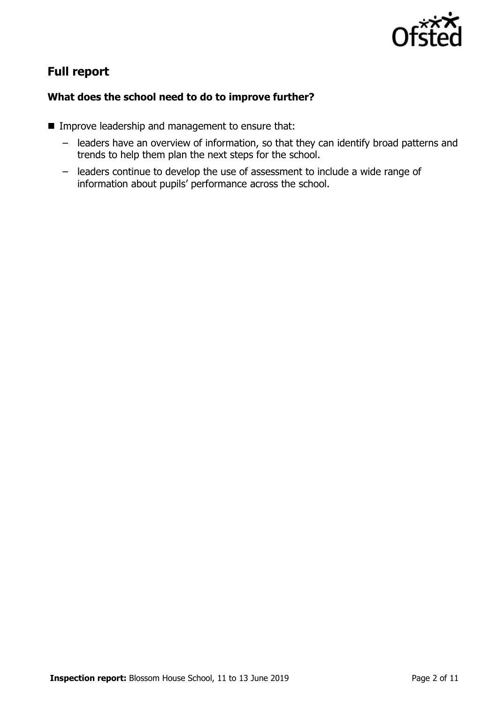

# **Full report**

### **What does the school need to do to improve further?**

- **IMPROVE LEADERSHIP and management to ensure that:** 
	- leaders have an overview of information, so that they can identify broad patterns and trends to help them plan the next steps for the school.
	- leaders continue to develop the use of assessment to include a wide range of information about pupils' performance across the school.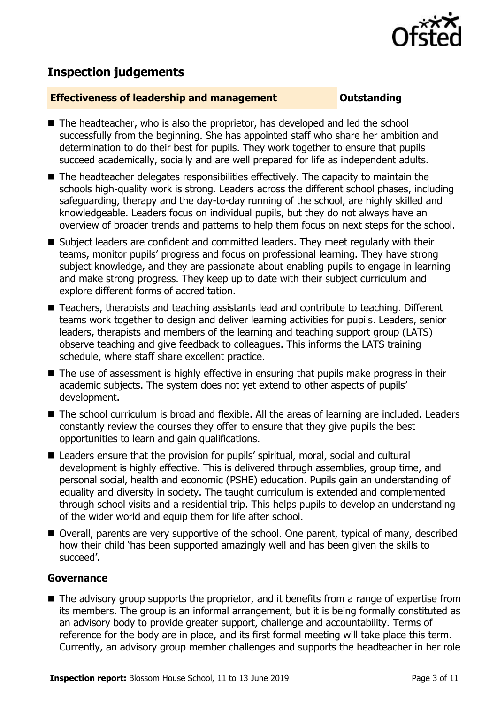

# **Inspection judgements**

#### **Effectiveness of leadership and management Constanding**

- The headteacher, who is also the proprietor, has developed and led the school successfully from the beginning. She has appointed staff who share her ambition and determination to do their best for pupils. They work together to ensure that pupils succeed academically, socially and are well prepared for life as independent adults.
- The headteacher delegates responsibilities effectively. The capacity to maintain the schools high-quality work is strong. Leaders across the different school phases, including safeguarding, therapy and the day-to-day running of the school, are highly skilled and knowledgeable. Leaders focus on individual pupils, but they do not always have an overview of broader trends and patterns to help them focus on next steps for the school.
- Subject leaders are confident and committed leaders. They meet regularly with their teams, monitor pupils' progress and focus on professional learning. They have strong subject knowledge, and they are passionate about enabling pupils to engage in learning and make strong progress. They keep up to date with their subject curriculum and explore different forms of accreditation.
- Teachers, therapists and teaching assistants lead and contribute to teaching. Different teams work together to design and deliver learning activities for pupils. Leaders, senior leaders, therapists and members of the learning and teaching support group (LATS) observe teaching and give feedback to colleagues. This informs the LATS training schedule, where staff share excellent practice.
- The use of assessment is highly effective in ensuring that pupils make progress in their academic subjects. The system does not yet extend to other aspects of pupils' development.
- The school curriculum is broad and flexible. All the areas of learning are included. Leaders constantly review the courses they offer to ensure that they give pupils the best opportunities to learn and gain qualifications.
- Leaders ensure that the provision for pupils' spiritual, moral, social and cultural development is highly effective. This is delivered through assemblies, group time, and personal social, health and economic (PSHE) education. Pupils gain an understanding of equality and diversity in society. The taught curriculum is extended and complemented through school visits and a residential trip. This helps pupils to develop an understanding of the wider world and equip them for life after school.
- Overall, parents are very supportive of the school. One parent, typical of many, described how their child 'has been supported amazingly well and has been given the skills to succeed'.

#### **Governance**

■ The advisory group supports the proprietor, and it benefits from a range of expertise from its members. The group is an informal arrangement, but it is being formally constituted as an advisory body to provide greater support, challenge and accountability. Terms of reference for the body are in place, and its first formal meeting will take place this term. Currently, an advisory group member challenges and supports the headteacher in her role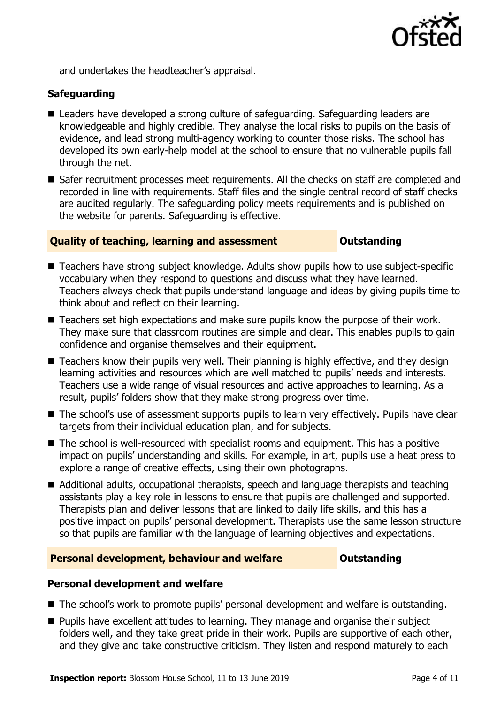

and undertakes the headteacher's appraisal.

### **Safeguarding**

- Leaders have developed a strong culture of safeguarding. Safeguarding leaders are knowledgeable and highly credible. They analyse the local risks to pupils on the basis of evidence, and lead strong multi-agency working to counter those risks. The school has developed its own early-help model at the school to ensure that no vulnerable pupils fall through the net.
- Safer recruitment processes meet requirements. All the checks on staff are completed and recorded in line with requirements. Staff files and the single central record of staff checks are audited regularly. The safeguarding policy meets requirements and is published on the website for parents. Safeguarding is effective.

### **Duality of teaching, learning and assessment <b>COUTS** Outstanding

- Teachers have strong subject knowledge. Adults show pupils how to use subject-specific vocabulary when they respond to questions and discuss what they have learned. Teachers always check that pupils understand language and ideas by giving pupils time to think about and reflect on their learning.
- Teachers set high expectations and make sure pupils know the purpose of their work. They make sure that classroom routines are simple and clear. This enables pupils to gain confidence and organise themselves and their equipment.
- Teachers know their pupils very well. Their planning is highly effective, and they design learning activities and resources which are well matched to pupils' needs and interests. Teachers use a wide range of visual resources and active approaches to learning. As a result, pupils' folders show that they make strong progress over time.
- The school's use of assessment supports pupils to learn very effectively. Pupils have clear targets from their individual education plan, and for subjects.
- The school is well-resourced with specialist rooms and equipment. This has a positive impact on pupils' understanding and skills. For example, in art, pupils use a heat press to explore a range of creative effects, using their own photographs.
- Additional adults, occupational therapists, speech and language therapists and teaching assistants play a key role in lessons to ensure that pupils are challenged and supported. Therapists plan and deliver lessons that are linked to daily life skills, and this has a positive impact on pupils' personal development. Therapists use the same lesson structure so that pupils are familiar with the language of learning objectives and expectations.

#### **Personal development, behaviour and welfare <b>COU COULDER** Outstanding

### **Personal development and welfare**

- The school's work to promote pupils' personal development and welfare is outstanding.
- **Pupils have excellent attitudes to learning. They manage and organise their subject** folders well, and they take great pride in their work. Pupils are supportive of each other, and they give and take constructive criticism. They listen and respond maturely to each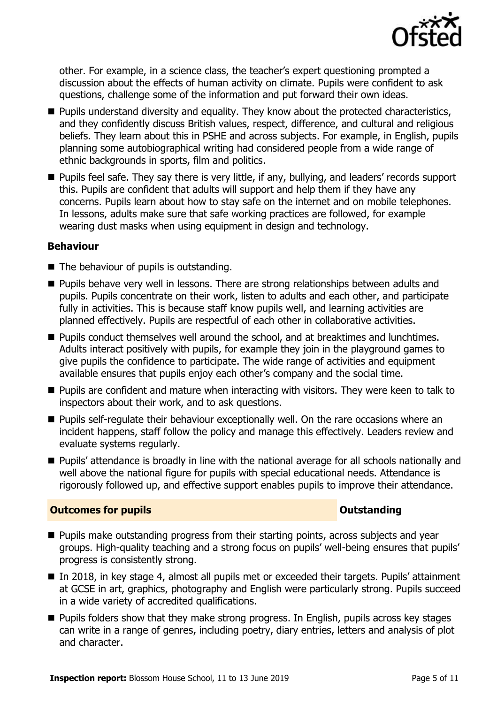

other. For example, in a science class, the teacher's expert questioning prompted a discussion about the effects of human activity on climate. Pupils were confident to ask questions, challenge some of the information and put forward their own ideas.

- **Pupils understand diversity and equality. They know about the protected characteristics,** and they confidently discuss British values, respect, difference, and cultural and religious beliefs. They learn about this in PSHE and across subjects. For example, in English, pupils planning some autobiographical writing had considered people from a wide range of ethnic backgrounds in sports, film and politics.
- **Pupils feel safe. They say there is very little, if any, bullying, and leaders' records support** this. Pupils are confident that adults will support and help them if they have any concerns. Pupils learn about how to stay safe on the internet and on mobile telephones. In lessons, adults make sure that safe working practices are followed, for example wearing dust masks when using equipment in design and technology.

### **Behaviour**

- The behaviour of pupils is outstanding.
- **Pupils behave very well in lessons. There are strong relationships between adults and** pupils. Pupils concentrate on their work, listen to adults and each other, and participate fully in activities. This is because staff know pupils well, and learning activities are planned effectively. Pupils are respectful of each other in collaborative activities.
- **Pupils conduct themselves well around the school, and at breaktimes and lunchtimes.** Adults interact positively with pupils, for example they join in the playground games to give pupils the confidence to participate. The wide range of activities and equipment available ensures that pupils enjoy each other's company and the social time.
- **Pupils are confident and mature when interacting with visitors. They were keen to talk to** inspectors about their work, and to ask questions.
- **Pupils self-regulate their behaviour exceptionally well. On the rare occasions where an** incident happens, staff follow the policy and manage this effectively. Leaders review and evaluate systems regularly.
- **Pupils' attendance is broadly in line with the national average for all schools nationally and** well above the national figure for pupils with special educational needs. Attendance is rigorously followed up, and effective support enables pupils to improve their attendance.

### **Outcomes for pupils Outstanding**

- **Pupils make outstanding progress from their starting points, across subjects and year** groups. High-quality teaching and a strong focus on pupils' well-being ensures that pupils' progress is consistently strong.
- In 2018, in key stage 4, almost all pupils met or exceeded their targets. Pupils' attainment at GCSE in art, graphics, photography and English were particularly strong. Pupils succeed in a wide variety of accredited qualifications.
- **Pupils folders show that they make strong progress. In English, pupils across key stages** can write in a range of genres, including poetry, diary entries, letters and analysis of plot and character.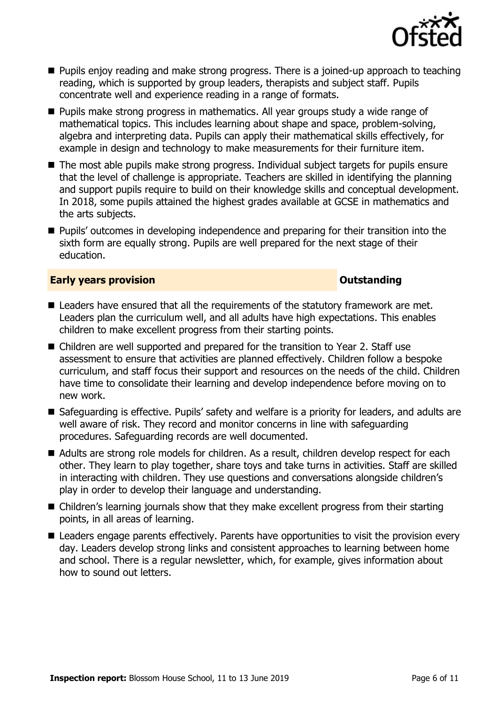

- **Pupils enjoy reading and make strong progress. There is a joined-up approach to teaching** reading, which is supported by group leaders, therapists and subject staff. Pupils concentrate well and experience reading in a range of formats.
- **Pupils make strong progress in mathematics. All year groups study a wide range of** mathematical topics. This includes learning about shape and space, problem-solving, algebra and interpreting data. Pupils can apply their mathematical skills effectively, for example in design and technology to make measurements for their furniture item.
- The most able pupils make strong progress. Individual subject targets for pupils ensure that the level of challenge is appropriate. Teachers are skilled in identifying the planning and support pupils require to build on their knowledge skills and conceptual development. In 2018, some pupils attained the highest grades available at GCSE in mathematics and the arts subjects.
- **Pupils'** outcomes in developing independence and preparing for their transition into the sixth form are equally strong. Pupils are well prepared for the next stage of their education.

#### **Early years provision CONSTANDING TO A RESEARCH CONSTANDING TO A RESEARCH CONSTANDING TO A RESEARCH CONSTANDING TO A RESEARCH CONSTANDING TO A RESEARCH CONSTANDING TO A RESEARCH CONSTANDING TO A RESEARCH CONSTANDING TO**

- Leaders have ensured that all the requirements of the statutory framework are met. Leaders plan the curriculum well, and all adults have high expectations. This enables children to make excellent progress from their starting points.
- Children are well supported and prepared for the transition to Year 2. Staff use assessment to ensure that activities are planned effectively. Children follow a bespoke curriculum, and staff focus their support and resources on the needs of the child. Children have time to consolidate their learning and develop independence before moving on to new work.
- Safequarding is effective. Pupils' safety and welfare is a priority for leaders, and adults are well aware of risk. They record and monitor concerns in line with safeguarding procedures. Safeguarding records are well documented.
- Adults are strong role models for children. As a result, children develop respect for each other. They learn to play together, share toys and take turns in activities. Staff are skilled in interacting with children. They use questions and conversations alongside children's play in order to develop their language and understanding.
- Children's learning journals show that they make excellent progress from their starting points, in all areas of learning.
- Leaders engage parents effectively. Parents have opportunities to visit the provision every day. Leaders develop strong links and consistent approaches to learning between home and school. There is a regular newsletter, which, for example, gives information about how to sound out letters.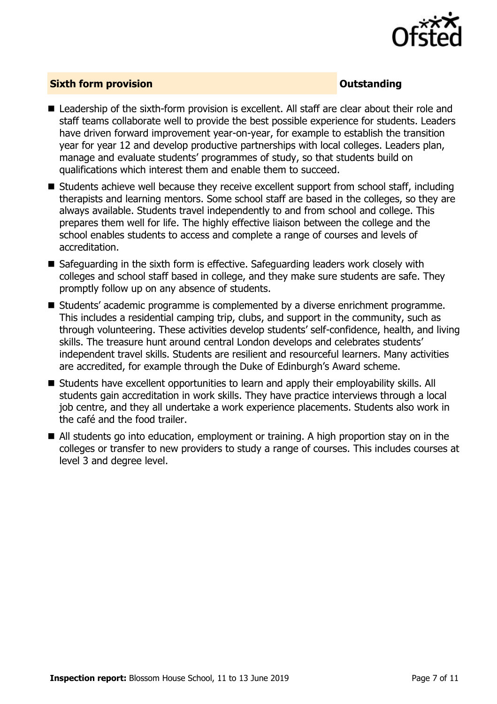

#### **Sixth form provision CONSISTER SIXTERS IN A SIXTER SIXTER SIXTER SIXTERS IN A SIXTER SIXTER SIXTERS IN A SIXTER**

- Leadership of the sixth-form provision is excellent. All staff are clear about their role and staff teams collaborate well to provide the best possible experience for students. Leaders have driven forward improvement year-on-year, for example to establish the transition year for year 12 and develop productive partnerships with local colleges. Leaders plan, manage and evaluate students' programmes of study, so that students build on qualifications which interest them and enable them to succeed.
- $\blacksquare$  Students achieve well because they receive excellent support from school staff, including therapists and learning mentors. Some school staff are based in the colleges, so they are always available. Students travel independently to and from school and college. This prepares them well for life. The highly effective liaison between the college and the school enables students to access and complete a range of courses and levels of accreditation.
- Safeguarding in the sixth form is effective. Safeguarding leaders work closely with colleges and school staff based in college, and they make sure students are safe. They promptly follow up on any absence of students.
- Students' academic programme is complemented by a diverse enrichment programme. This includes a residential camping trip, clubs, and support in the community, such as through volunteering. These activities develop students' self-confidence, health, and living skills. The treasure hunt around central London develops and celebrates students' independent travel skills. Students are resilient and resourceful learners. Many activities are accredited, for example through the Duke of Edinburgh's Award scheme.
- Students have excellent opportunities to learn and apply their employability skills. All students gain accreditation in work skills. They have practice interviews through a local job centre, and they all undertake a work experience placements. Students also work in the café and the food trailer.
- All students go into education, employment or training. A high proportion stay on in the colleges or transfer to new providers to study a range of courses. This includes courses at level 3 and degree level.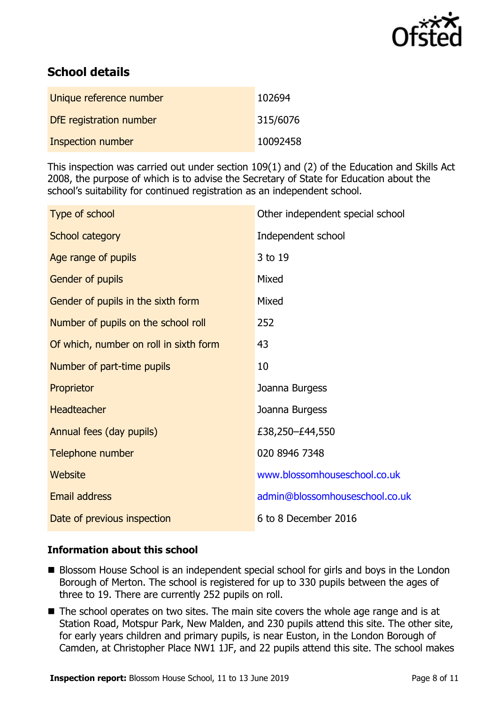

# **School details**

| Unique reference number | 102694   |
|-------------------------|----------|
| DfE registration number | 315/6076 |
| Inspection number       | 10092458 |

This inspection was carried out under section 109(1) and (2) of the Education and Skills Act 2008, the purpose of which is to advise the Secretary of State for Education about the school's suitability for continued registration as an independent school.

| Type of school                         | Other independent special school |
|----------------------------------------|----------------------------------|
| School category                        | Independent school               |
| Age range of pupils                    | 3 to 19                          |
| Gender of pupils                       | Mixed                            |
| Gender of pupils in the sixth form     | Mixed                            |
| Number of pupils on the school roll    | 252                              |
| Of which, number on roll in sixth form | 43                               |
| Number of part-time pupils             | 10                               |
| Proprietor                             | Joanna Burgess                   |
| <b>Headteacher</b>                     | Joanna Burgess                   |
| Annual fees (day pupils)               | £38,250-£44,550                  |
| Telephone number                       | 020 8946 7348                    |
| <b>Website</b>                         | www.blossomhouseschool.co.uk     |
| Email address                          | admin@blossomhouseschool.co.uk   |
| Date of previous inspection            | 6 to 8 December 2016             |

### **Information about this school**

- Blossom House School is an independent special school for girls and boys in the London Borough of Merton. The school is registered for up to 330 pupils between the ages of three to 19. There are currently 252 pupils on roll.
- The school operates on two sites. The main site covers the whole age range and is at Station Road, Motspur Park, New Malden, and 230 pupils attend this site. The other site, for early years children and primary pupils, is near Euston, in the London Borough of Camden, at Christopher Place NW1 1JF, and 22 pupils attend this site. The school makes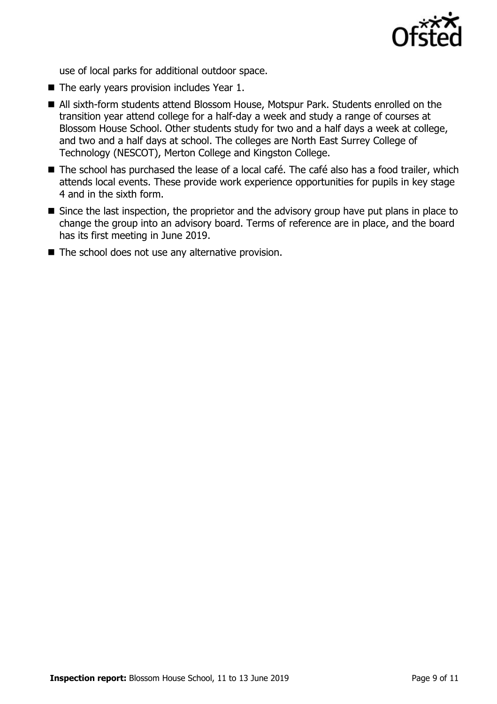

use of local parks for additional outdoor space.

- $\blacksquare$  The early years provision includes Year 1.
- All sixth-form students attend Blossom House, Motspur Park. Students enrolled on the transition year attend college for a half-day a week and study a range of courses at Blossom House School. Other students study for two and a half days a week at college, and two and a half days at school. The colleges are North East Surrey College of Technology (NESCOT), Merton College and Kingston College.
- The school has purchased the lease of a local café. The café also has a food trailer, which attends local events. These provide work experience opportunities for pupils in key stage 4 and in the sixth form.
- Since the last inspection, the proprietor and the advisory group have put plans in place to change the group into an advisory board. Terms of reference are in place, and the board has its first meeting in June 2019.
- $\blacksquare$  The school does not use any alternative provision.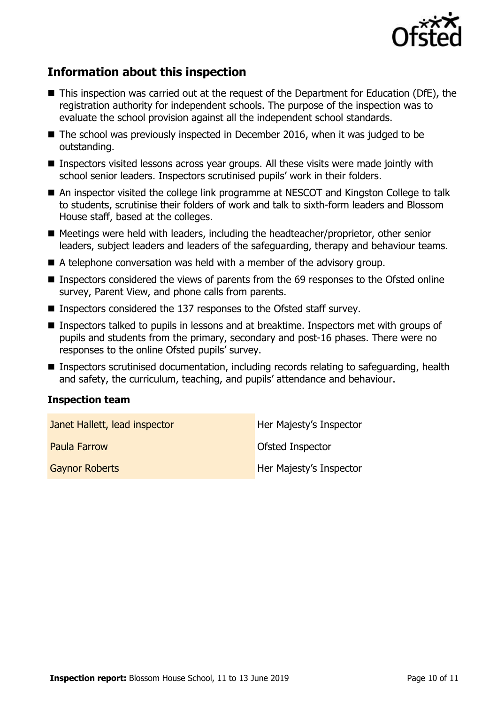

## **Information about this inspection**

- This inspection was carried out at the request of the Department for Education (DfE), the registration authority for independent schools. The purpose of the inspection was to evaluate the school provision against all the independent school standards.
- The school was previously inspected in December 2016, when it was judged to be outstanding.
- Inspectors visited lessons across year groups. All these visits were made jointly with school senior leaders. Inspectors scrutinised pupils' work in their folders.
- An inspector visited the college link programme at NESCOT and Kingston College to talk to students, scrutinise their folders of work and talk to sixth-form leaders and Blossom House staff, based at the colleges.
- Meetings were held with leaders, including the headteacher/proprietor, other senior leaders, subject leaders and leaders of the safeguarding, therapy and behaviour teams.
- A telephone conversation was held with a member of the advisory group.
- Inspectors considered the views of parents from the 69 responses to the Ofsted online survey, Parent View, and phone calls from parents.
- Inspectors considered the 137 responses to the Ofsted staff survey.
- Inspectors talked to pupils in lessons and at breaktime. Inspectors met with groups of pupils and students from the primary, secondary and post-16 phases. There were no responses to the online Ofsted pupils' survey.
- Inspectors scrutinised documentation, including records relating to safeguarding, health and safety, the curriculum, teaching, and pupils' attendance and behaviour.

#### **Inspection team**

| Janet Hallett, lead inspector | Her Majesty's Inspector |
|-------------------------------|-------------------------|
| <b>Paula Farrow</b>           | Ofsted Inspector        |
| <b>Gaynor Roberts</b>         | Her Majesty's Inspector |